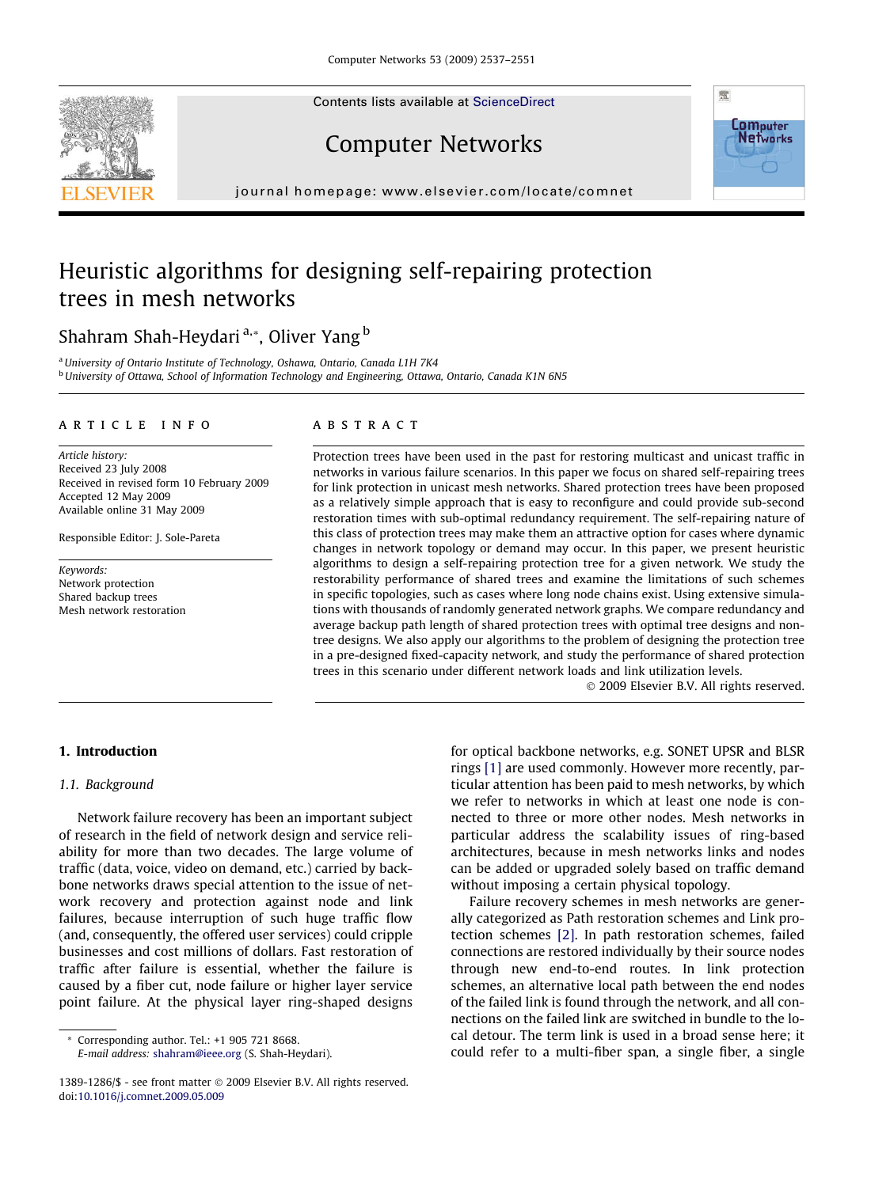Contents lists available at [ScienceDirect](http://www.sciencedirect.com/science/journal/13891286)





Computer Networks

journal homepage: [www.elsevier.com/locate/comnet](http://www.elsevier.com/locate/comnet)

# Heuristic algorithms for designing self-repairing protection trees in mesh networks

Shahram Shah-Heydari<sup>a,\*</sup>, Oliver Yang<sup>b</sup>

<sup>a</sup> University of Ontario Institute of Technology, Oshawa, Ontario, Canada L1H 7K4 <sup>b</sup> University of Ottawa, School of Information Technology and Engineering, Ottawa, Ontario, Canada K1N 6N5

#### article info

Article history: Received 23 July 2008 Received in revised form 10 February 2009 Accepted 12 May 2009 Available online 31 May 2009

Responsible Editor: J. Sole-Pareta

Keywords: Network protection Shared backup trees Mesh network restoration

#### **ABSTRACT**

Protection trees have been used in the past for restoring multicast and unicast traffic in networks in various failure scenarios. In this paper we focus on shared self-repairing trees for link protection in unicast mesh networks. Shared protection trees have been proposed as a relatively simple approach that is easy to reconfigure and could provide sub-second restoration times with sub-optimal redundancy requirement. The self-repairing nature of this class of protection trees may make them an attractive option for cases where dynamic changes in network topology or demand may occur. In this paper, we present heuristic algorithms to design a self-repairing protection tree for a given network. We study the restorability performance of shared trees and examine the limitations of such schemes in specific topologies, such as cases where long node chains exist. Using extensive simulations with thousands of randomly generated network graphs. We compare redundancy and average backup path length of shared protection trees with optimal tree designs and nontree designs. We also apply our algorithms to the problem of designing the protection tree in a pre-designed fixed-capacity network, and study the performance of shared protection trees in this scenario under different network loads and link utilization levels.

- 2009 Elsevier B.V. All rights reserved.

## 1. Introduction

## 1.1. Background

Network failure recovery has been an important subject of research in the field of network design and service reliability for more than two decades. The large volume of traffic (data, voice, video on demand, etc.) carried by backbone networks draws special attention to the issue of network recovery and protection against node and link failures, because interruption of such huge traffic flow (and, consequently, the offered user services) could cripple businesses and cost millions of dollars. Fast restoration of traffic after failure is essential, whether the failure is caused by a fiber cut, node failure or higher layer service point failure. At the physical layer ring-shaped designs

\* Corresponding author. Tel.: +1 905 721 8668. E-mail address: [shahram@ieee.org](mailto:shahram@ieee.org) (S. Shah-Heydari).

for optical backbone networks, e.g. SONET UPSR and BLSR rings [\[1\]](#page--1-0) are used commonly. However more recently, particular attention has been paid to mesh networks, by which we refer to networks in which at least one node is connected to three or more other nodes. Mesh networks in particular address the scalability issues of ring-based architectures, because in mesh networks links and nodes can be added or upgraded solely based on traffic demand without imposing a certain physical topology.

Failure recovery schemes in mesh networks are generally categorized as Path restoration schemes and Link protection schemes [\[2\]](#page--1-0). In path restoration schemes, failed connections are restored individually by their source nodes through new end-to-end routes. In link protection schemes, an alternative local path between the end nodes of the failed link is found through the network, and all connections on the failed link are switched in bundle to the local detour. The term link is used in a broad sense here; it could refer to a multi-fiber span, a single fiber, a single

<sup>1389-1286/\$ -</sup> see front matter © 2009 Elsevier B.V. All rights reserved. doi:[10.1016/j.comnet.2009.05.009](http://dx.doi.org/10.1016/j.comnet.2009.05.009)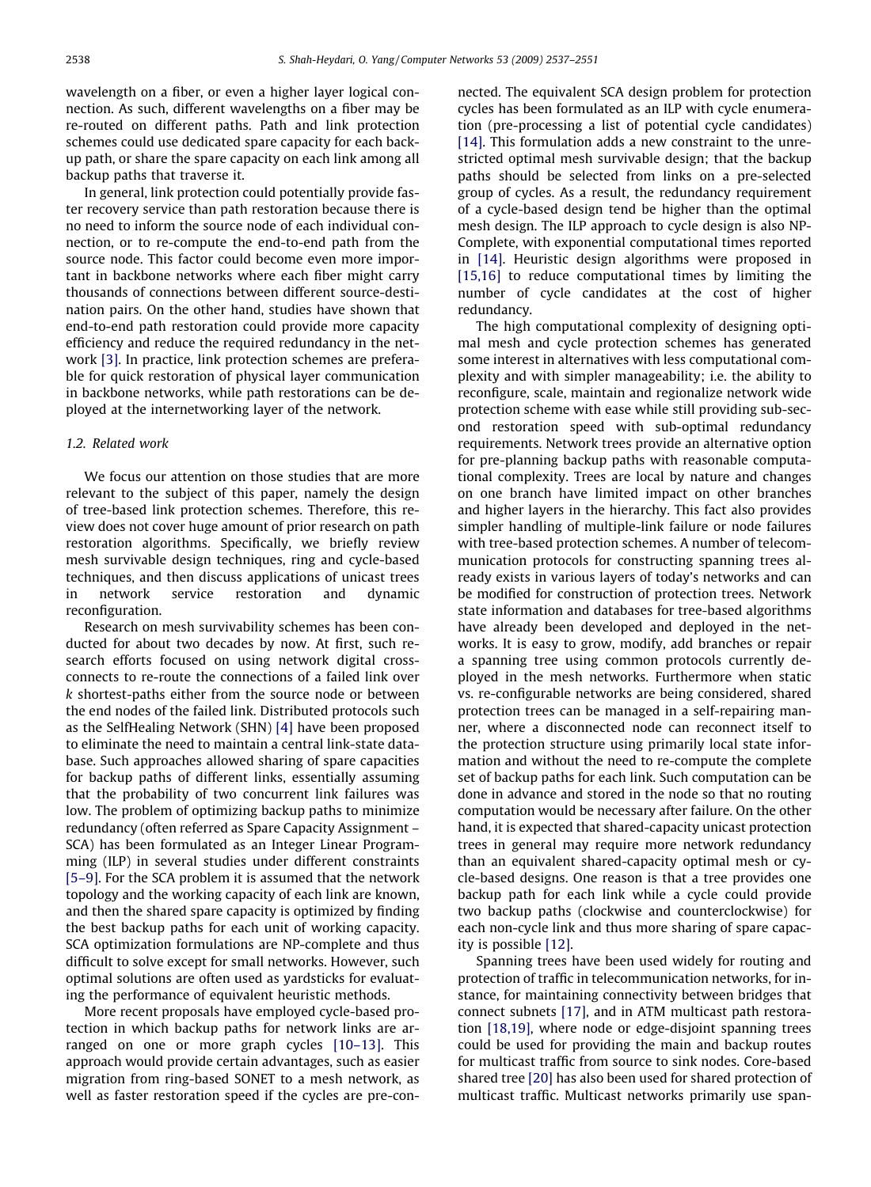wavelength on a fiber, or even a higher layer logical connection. As such, different wavelengths on a fiber may be re-routed on different paths. Path and link protection schemes could use dedicated spare capacity for each backup path, or share the spare capacity on each link among all backup paths that traverse it.

In general, link protection could potentially provide faster recovery service than path restoration because there is no need to inform the source node of each individual connection, or to re-compute the end-to-end path from the source node. This factor could become even more important in backbone networks where each fiber might carry thousands of connections between different source-destination pairs. On the other hand, studies have shown that end-to-end path restoration could provide more capacity efficiency and reduce the required redundancy in the network [\[3\].](#page--1-0) In practice, link protection schemes are preferable for quick restoration of physical layer communication in backbone networks, while path restorations can be deployed at the internetworking layer of the network.

## 1.2. Related work

We focus our attention on those studies that are more relevant to the subject of this paper, namely the design of tree-based link protection schemes. Therefore, this review does not cover huge amount of prior research on path restoration algorithms. Specifically, we briefly review mesh survivable design techniques, ring and cycle-based techniques, and then discuss applications of unicast trees in network service restoration and dynamic reconfiguration.

Research on mesh survivability schemes has been conducted for about two decades by now. At first, such research efforts focused on using network digital crossconnects to re-route the connections of a failed link over k shortest-paths either from the source node or between the end nodes of the failed link. Distributed protocols such as the SelfHealing Network (SHN) [\[4\]](#page--1-0) have been proposed to eliminate the need to maintain a central link-state database. Such approaches allowed sharing of spare capacities for backup paths of different links, essentially assuming that the probability of two concurrent link failures was low. The problem of optimizing backup paths to minimize redundancy (often referred as Spare Capacity Assignment – SCA) has been formulated as an Integer Linear Programming (ILP) in several studies under different constraints [\[5–9\]](#page--1-0). For the SCA problem it is assumed that the network topology and the working capacity of each link are known, and then the shared spare capacity is optimized by finding the best backup paths for each unit of working capacity. SCA optimization formulations are NP-complete and thus difficult to solve except for small networks. However, such optimal solutions are often used as yardsticks for evaluating the performance of equivalent heuristic methods.

More recent proposals have employed cycle-based protection in which backup paths for network links are arranged on one or more graph cycles [\[10–13\]](#page--1-0). This approach would provide certain advantages, such as easier migration from ring-based SONET to a mesh network, as well as faster restoration speed if the cycles are pre-con-

nected. The equivalent SCA design problem for protection cycles has been formulated as an ILP with cycle enumeration (pre-processing a list of potential cycle candidates) [\[14\].](#page--1-0) This formulation adds a new constraint to the unrestricted optimal mesh survivable design; that the backup paths should be selected from links on a pre-selected group of cycles. As a result, the redundancy requirement of a cycle-based design tend be higher than the optimal mesh design. The ILP approach to cycle design is also NP-Complete, with exponential computational times reported in [\[14\]](#page--1-0). Heuristic design algorithms were proposed in [\[15,16\]](#page--1-0) to reduce computational times by limiting the number of cycle candidates at the cost of higher redundancy.

The high computational complexity of designing optimal mesh and cycle protection schemes has generated some interest in alternatives with less computational complexity and with simpler manageability; i.e. the ability to reconfigure, scale, maintain and regionalize network wide protection scheme with ease while still providing sub-second restoration speed with sub-optimal redundancy requirements. Network trees provide an alternative option for pre-planning backup paths with reasonable computational complexity. Trees are local by nature and changes on one branch have limited impact on other branches and higher layers in the hierarchy. This fact also provides simpler handling of multiple-link failure or node failures with tree-based protection schemes. A number of telecommunication protocols for constructing spanning trees already exists in various layers of today's networks and can be modified for construction of protection trees. Network state information and databases for tree-based algorithms have already been developed and deployed in the networks. It is easy to grow, modify, add branches or repair a spanning tree using common protocols currently deployed in the mesh networks. Furthermore when static vs. re-configurable networks are being considered, shared protection trees can be managed in a self-repairing manner, where a disconnected node can reconnect itself to the protection structure using primarily local state information and without the need to re-compute the complete set of backup paths for each link. Such computation can be done in advance and stored in the node so that no routing computation would be necessary after failure. On the other hand, it is expected that shared-capacity unicast protection trees in general may require more network redundancy than an equivalent shared-capacity optimal mesh or cycle-based designs. One reason is that a tree provides one backup path for each link while a cycle could provide two backup paths (clockwise and counterclockwise) for each non-cycle link and thus more sharing of spare capacity is possible [\[12\].](#page--1-0)

Spanning trees have been used widely for routing and protection of traffic in telecommunication networks, for instance, for maintaining connectivity between bridges that connect subnets [\[17\]](#page--1-0), and in ATM multicast path restoration [\[18,19\],](#page--1-0) where node or edge-disjoint spanning trees could be used for providing the main and backup routes for multicast traffic from source to sink nodes. Core-based shared tree [\[20\]](#page--1-0) has also been used for shared protection of multicast traffic. Multicast networks primarily use span-